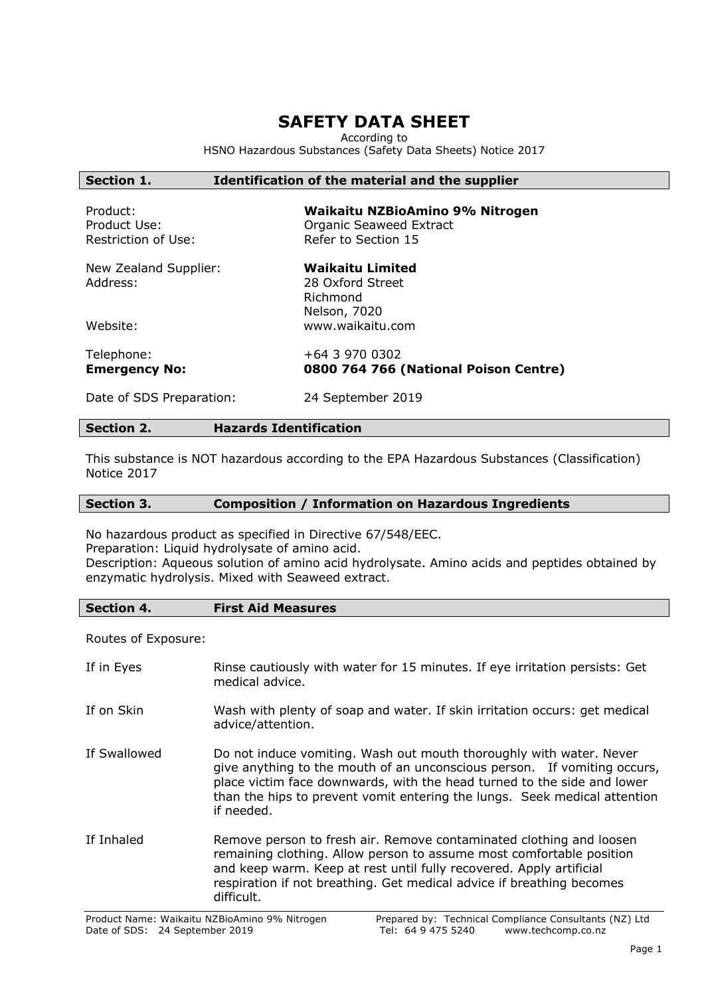# **SAFETY DATA SHEET**

According to

HSNO Hazardous Substances (Safety Data Sheets) Notice 2017

## **Section 1. Identification of the material and the supplier**

| Product:            | Waikaitu NZBioAmino 9% Nitrogen |
|---------------------|---------------------------------|
| Product Use:        | Organic Seaweed Extract         |
| Restriction of Use: | Refer to Section 15             |

New Zealand Supplier: **Waikaitu Limited** Address: 28 Oxford Street

Richmond Nelson, 7020 Website: www.waikaitu.com

Telephone: +64 3 970 0302

**Emergency No: 0800 764 766 (National Poison Centre)**

Date of SDS Preparation: 24 September 2019

#### **Section 2. Hazards Identification**

This substance is NOT hazardous according to the EPA Hazardous Substances (Classification) Notice 2017

#### **Section 3. Composition / Information on Hazardous Ingredients**

No hazardous product as specified in Directive 67/548/EEC.

Preparation: Liquid hydrolysate of amino acid.

Description: Aqueous solution of amino acid hydrolysate. Amino acids and peptides obtained by enzymatic hydrolysis. Mixed with Seaweed extract.

#### **Section 4. First Aid Measures**

Routes of Exposure:

| If in Eyes   | Rinse cautiously with water for 15 minutes. If eye irritation persists: Get<br>medical advice.                                                                                                                                                                                                                        |
|--------------|-----------------------------------------------------------------------------------------------------------------------------------------------------------------------------------------------------------------------------------------------------------------------------------------------------------------------|
| If on Skin   | Wash with plenty of soap and water. If skin irritation occurs: get medical<br>advice/attention.                                                                                                                                                                                                                       |
| If Swallowed | Do not induce vomiting. Wash out mouth thoroughly with water. Never<br>give anything to the mouth of an unconscious person. If vomiting occurs,<br>place victim face downwards, with the head turned to the side and lower<br>than the hips to prevent vomit entering the lungs. Seek medical attention<br>if needed. |
| If Inhaled   | Remove person to fresh air. Remove contaminated clothing and loosen<br>remaining clothing. Allow person to assume most comfortable position<br>and keep warm. Keep at rest until fully recovered. Apply artificial<br>respiration if not breathing. Get medical advice if breathing becomes<br>difficult.             |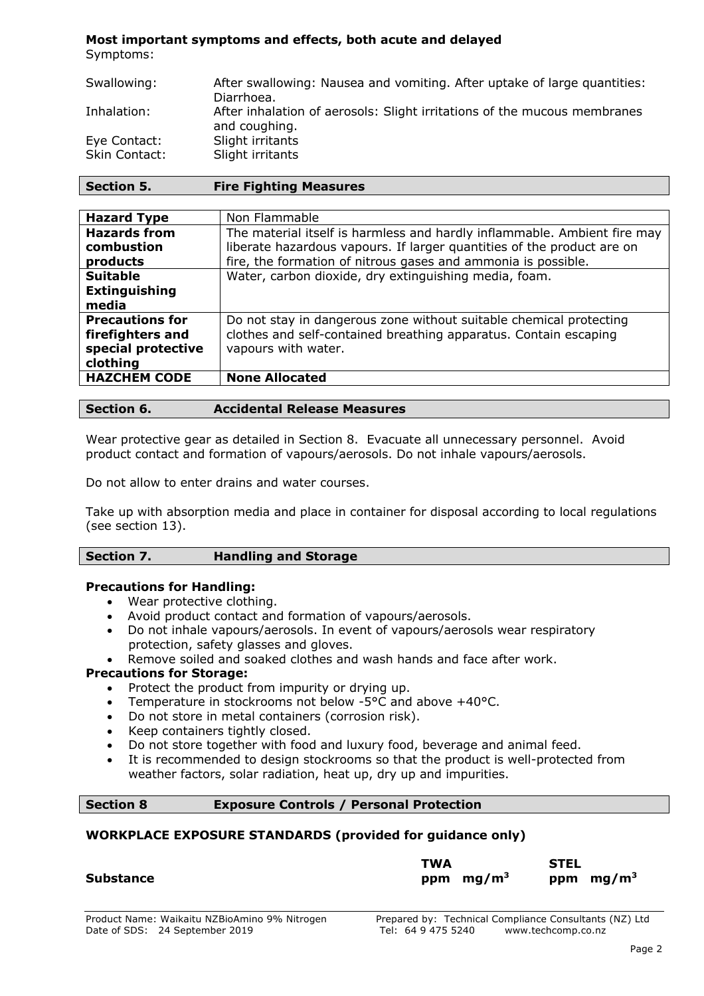#### **Most important symptoms and effects, both acute and delayed** Symptoms:

Swallowing: After swallowing: Nausea and vomiting. After uptake of large quantities: Diarrhoea. Inhalation: After inhalation of aerosols: Slight irritations of the mucous membranes and coughing. Eye Contact: Slight irritants Skin Contact: Slight irritants

| Section 5. | <b>Fire Fighting Measures</b> |
|------------|-------------------------------|
|------------|-------------------------------|

| <b>Hazard Type</b>     | Non Flammable                                                            |
|------------------------|--------------------------------------------------------------------------|
| <b>Hazards from</b>    | The material itself is harmless and hardly inflammable. Ambient fire may |
| combustion             | liberate hazardous vapours. If larger quantities of the product are on   |
| products               | fire, the formation of nitrous gases and ammonia is possible.            |
| <b>Suitable</b>        | Water, carbon dioxide, dry extinguishing media, foam.                    |
| <b>Extinguishing</b>   |                                                                          |
| media                  |                                                                          |
| <b>Precautions for</b> | Do not stay in dangerous zone without suitable chemical protecting       |
| firefighters and       | clothes and self-contained breathing apparatus. Contain escaping         |
| special protective     | vapours with water.                                                      |
| clothing               |                                                                          |
| <b>HAZCHEM CODE</b>    | <b>None Allocated</b>                                                    |
|                        |                                                                          |

| <b>Accidental Release Measures</b><br>Section 6. |
|--------------------------------------------------|
|--------------------------------------------------|

Wear protective gear as detailed in Section 8. Evacuate all unnecessary personnel. Avoid product contact and formation of vapours/aerosols. Do not inhale vapours/aerosols.

Do not allow to enter drains and water courses.

Take up with absorption media and place in container for disposal according to local regulations (see section 13).

#### **Precautions for Handling:**

- Wear protective clothing.
- Avoid product contact and formation of vapours/aerosols.
- Do not inhale vapours/aerosols. In event of vapours/aerosols wear respiratory protection, safety glasses and gloves.
- Remove soiled and soaked clothes and wash hands and face after work.

#### **Precautions for Storage:**

- Protect the product from impurity or drying up.
- Temperature in stockrooms not below -5°C and above +40°C.
- Do not store in metal containers (corrosion risk).
- Keep containers tightly closed.
- Do not store together with food and luxury food, beverage and animal feed.
- It is recommended to design stockrooms so that the product is well-protected from weather factors, solar radiation, heat up, dry up and impurities.

#### **Section 8 Exposure Controls / Personal Protection**

#### **WORKPLACE EXPOSURE STANDARDS (provided for guidance only)**

| <b>Substance</b> | TWA<br>ppm $mg/m3$ | <b>STEL</b> | ppm $mg/m3$ |
|------------------|--------------------|-------------|-------------|
|                  |                    |             |             |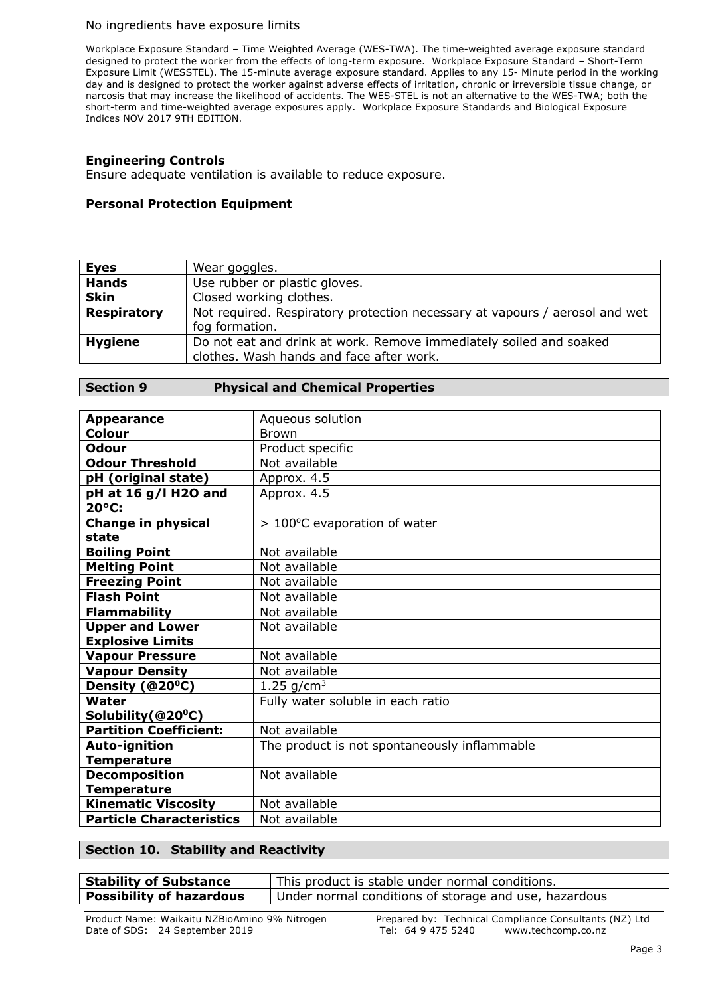#### No ingredients have exposure limits

Workplace Exposure Standard – Time Weighted Average (WES-TWA). The time-weighted average exposure standard designed to protect the worker from the effects of long-term exposure. Workplace Exposure Standard – Short-Term Exposure Limit (WESSTEL). The 15-minute average exposure standard. Applies to any 15- Minute period in the working day and is designed to protect the worker against adverse effects of irritation, chronic or irreversible tissue change, or narcosis that may increase the likelihood of accidents. The WES-STEL is not an alternative to the WES-TWA; both the short-term and time-weighted average exposures apply. Workplace Exposure Standards and Biological Exposure Indices NOV 2017 9TH EDITION.

#### **Engineering Controls**

Ensure adequate ventilation is available to reduce exposure.

#### **Personal Protection Equipment**

| <b>Eyes</b>        | Wear goggles.                                                                                                  |  |
|--------------------|----------------------------------------------------------------------------------------------------------------|--|
| <b>Hands</b>       | Use rubber or plastic gloves.                                                                                  |  |
| <b>Skin</b>        | Closed working clothes.                                                                                        |  |
| <b>Respiratory</b> | Not required. Respiratory protection necessary at vapours / aerosol and wet                                    |  |
|                    | fog formation.                                                                                                 |  |
| <b>Hygiene</b>     | Do not eat and drink at work. Remove immediately soiled and soaked<br>clothes. Wash hands and face after work. |  |
|                    |                                                                                                                |  |

#### **Section 9 Physical and Chemical Properties**

| <b>Appearance</b>                  | Aqueous solution                             |
|------------------------------------|----------------------------------------------|
| <b>Colour</b>                      | <b>Brown</b>                                 |
| <b>Odour</b>                       | Product specific                             |
| <b>Odour Threshold</b>             | Not available                                |
| pH (original state)                | Approx. 4.5                                  |
| pH at 16 g/l H2O and<br>20°C:      | Approx. 4.5                                  |
|                                    |                                              |
| <b>Change in physical</b><br>state | > 100°C evaporation of water                 |
| <b>Boiling Point</b>               | Not available                                |
| <b>Melting Point</b>               | Not available                                |
| <b>Freezing Point</b>              | Not available                                |
| <b>Flash Point</b>                 | Not available                                |
| <b>Flammability</b>                | Not available                                |
| <b>Upper and Lower</b>             | Not available                                |
| <b>Explosive Limits</b>            |                                              |
| <b>Vapour Pressure</b>             | Not available                                |
| <b>Vapour Density</b>              | Not available                                |
| Density (@20 <sup>o</sup> C)       | 1.25 $q/cm^3$                                |
| Water                              | Fully water soluble in each ratio            |
| Solubility (@20°C)                 |                                              |
| <b>Partition Coefficient:</b>      | Not available                                |
| <b>Auto-ignition</b>               | The product is not spontaneously inflammable |
| <b>Temperature</b>                 |                                              |
| <b>Decomposition</b>               | Not available                                |
| <b>Temperature</b>                 |                                              |
| <b>Kinematic Viscosity</b>         | Not available                                |
| <b>Particle Characteristics</b>    | Not available                                |

#### **Section 10. Stability and Reactivity**

| <b>Stability of Substance</b>   | This product is stable under normal conditions.       |
|---------------------------------|-------------------------------------------------------|
| <b>Possibility of hazardous</b> | Under normal conditions of storage and use, hazardous |
|                                 |                                                       |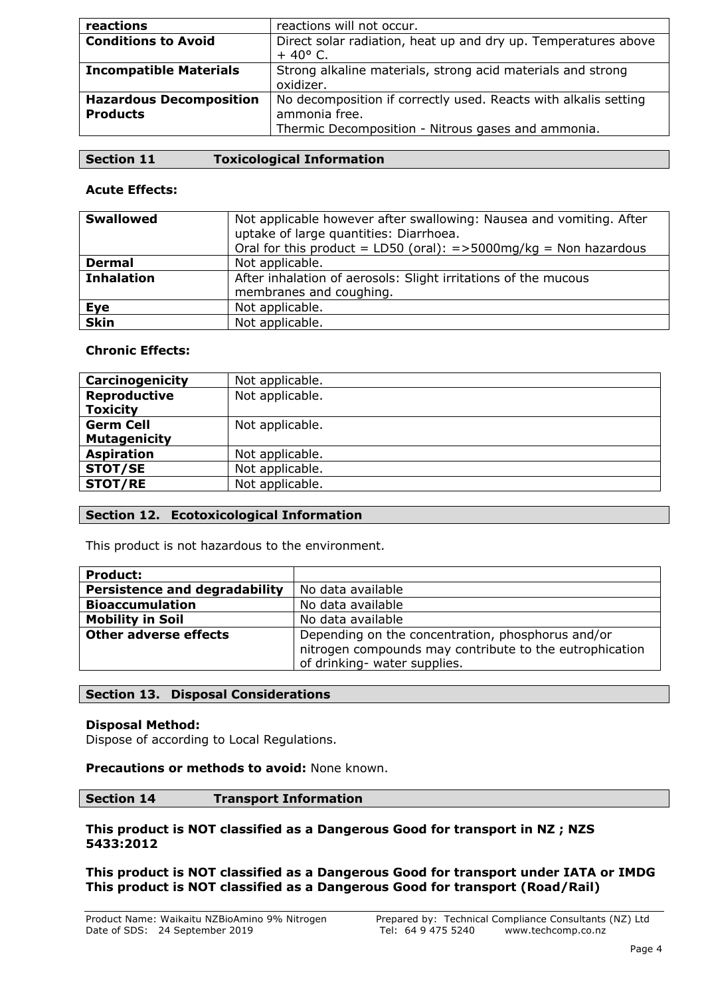| reactions                                         | reactions will not occur.                                                                                                              |
|---------------------------------------------------|----------------------------------------------------------------------------------------------------------------------------------------|
| <b>Conditions to Avoid</b>                        | Direct solar radiation, heat up and dry up. Temperatures above<br>$+40^{\circ}$ C.                                                     |
| <b>Incompatible Materials</b>                     | Strong alkaline materials, strong acid materials and strong<br>oxidizer.                                                               |
| <b>Hazardous Decomposition</b><br><b>Products</b> | No decomposition if correctly used. Reacts with alkalis setting<br>ammonia free.<br>Thermic Decomposition - Nitrous gases and ammonia. |

|  | $\mid$ Section 11 | <b>Toxicological Information</b> |
|--|-------------------|----------------------------------|
|--|-------------------|----------------------------------|

## **Acute Effects:**

| <b>Swallowed</b>  | Not applicable however after swallowing: Nausea and vomiting. After<br>uptake of large quantities: Diarrhoea.<br>Oral for this product = LD50 (oral): = > 5000mg/kg = Non hazardous |
|-------------------|-------------------------------------------------------------------------------------------------------------------------------------------------------------------------------------|
| <b>Dermal</b>     | Not applicable.                                                                                                                                                                     |
| <b>Inhalation</b> | After inhalation of aerosols: Slight irritations of the mucous<br>membranes and coughing.                                                                                           |
| Eye               | Not applicable.                                                                                                                                                                     |
| <b>Skin</b>       | Not applicable.                                                                                                                                                                     |

# **Chronic Effects:**

| Carcinogenicity     | Not applicable. |
|---------------------|-----------------|
| <b>Reproductive</b> | Not applicable. |
| <b>Toxicity</b>     |                 |
| <b>Germ Cell</b>    | Not applicable. |
| <b>Mutagenicity</b> |                 |
| <b>Aspiration</b>   | Not applicable. |
| <b>STOT/SE</b>      | Not applicable. |
| <b>STOT/RE</b>      | Not applicable. |

# **Section 12. Ecotoxicological Information**

This product is not hazardous to the environment.

| <b>Product:</b>                      |                                                                                                                                              |
|--------------------------------------|----------------------------------------------------------------------------------------------------------------------------------------------|
| <b>Persistence and degradability</b> | No data available                                                                                                                            |
| <b>Bioaccumulation</b>               | No data available                                                                                                                            |
| <b>Mobility in Soil</b>              | No data available                                                                                                                            |
| <b>Other adverse effects</b>         | Depending on the concentration, phosphorus and/or<br>nitrogen compounds may contribute to the eutrophication<br>of drinking- water supplies. |

#### **Section 13. Disposal Considerations**

#### **Disposal Method:**

Dispose of according to Local Regulations.

#### **Precautions or methods to avoid:** None known.

#### **Section 14 Transport Information**

#### **This product is NOT classified as a Dangerous Good for transport in NZ ; NZS 5433:2012**

**This product is NOT classified as a Dangerous Good for transport under IATA or IMDG This product is NOT classified as a Dangerous Good for transport (Road/Rail)**